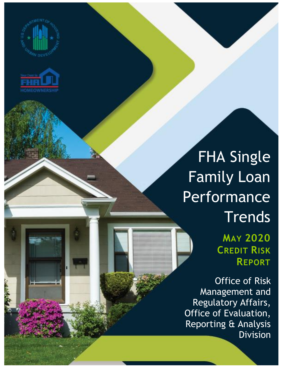



## FHA Single Family Loan Performance **Trends**

**MAY 2020 CREDIT RISK REPORT**

Office of Risk Management and Regulatory Affairs, Office of Evaluation, Reporting & Analysis Division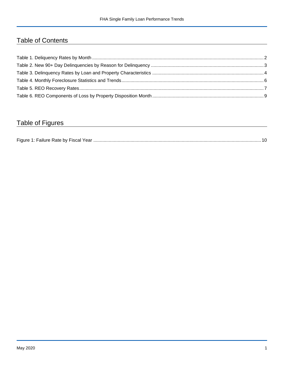## Table of Contents

## Table of Figures

| Figure 1<br>Failure Rate by Fiscal Year. |  |
|------------------------------------------|--|
|------------------------------------------|--|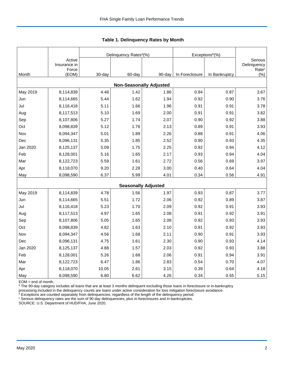|          |                                 |        | Delinquency Rates <sup>a</sup> (%) |        | Exceptions <sup>b</sup> (%) |               |                                             |
|----------|---------------------------------|--------|------------------------------------|--------|-----------------------------|---------------|---------------------------------------------|
|          | Active<br>Insurance in<br>Force |        |                                    |        |                             |               | Serious<br>Delinquency<br>Rate <sup>c</sup> |
| Month    | (EOM)                           | 30-day | 60-day                             | 90-day | In Foreclosure              | In Bankruptcy | $(\% )$                                     |
|          |                                 |        | <b>Non-Seasonally Adjusted</b>     |        |                             |               |                                             |
| May 2019 | 8,114,839                       | 4.48   | 1.42                               | 1.86   | 0.94                        | 0.87          | 3.67                                        |
| Jun      | 8,114,665                       | 5.44   | 1.62                               | 1.94   | 0.92                        | 0.90          | 3.76                                        |
| Jul      | 8,116,418                       | 5.11   | 1.66                               | 1.96   | 0.91                        | 0.91          | 3.78                                        |
| Aug      | 8,117,513                       | 5.10   | 1.69                               | 2.00   | 0.91                        | 0.91          | 3.82                                        |
| Sep      | 8,107,806                       | 5.27   | 1.74                               | 2.07   | 0.90                        | 0.92          | 3.88                                        |
| Oct      | 8,098,839                       | 5.12   | 1.76                               | 2.13   | 0.89                        | 0.91          | 3.93                                        |
| Nov      | 8,094,347                       | 5.01   | 1.89                               | 2.26   | 0.88                        | 0.91          | 4.06                                        |
| Dec      | 8,096,131                       | 5.35   | 1.85                               | 2.52   | 0.90                        | 0.93          | 4.35                                        |
| Jan 2020 | 8,125,137                       | 5.09   | 1.75                               | 2.25   | 0.92                        | 0.94          | 4.12                                        |
| Feb      | 8,128,001                       | 5.16   | 1.65                               | 2.17   | 0.93                        | 0.94          | 4.04                                        |
| Mar      | 8,122,723                       | 5.59   | 1.61                               | 2.72   | 0.56                        | 0.69          | 3.97                                        |
| Apr      | 8,118,070                       | 9.20   | 2.28                               | 3.00   | 0.40                        | 0.64          | 4.04                                        |
| May      | 8,098,590                       | 6.37   | 5.99                               | 4.01   | 0.34                        | 0.56          | 4.91                                        |
|          |                                 |        | <b>Seasonally Adjusted</b>         |        |                             |               |                                             |
| May 2019 | 8,114,839                       | 4.78   | 1.56                               | 1.97   | 0.93                        | 0.87          | 3.77                                        |
| Jun      | 8,114,665                       | 5.51   | 1.72                               | 2.06   | 0.92                        | 0.89          | 3.87                                        |
| Jul      | 8,116,418                       | 5.23   | 1.70                               | 2.09   | 0.92                        | 0.91          | 3.93                                        |
| Aug      | 8,117,513                       | 4.97   | 1.65                               | 2.08   | 0.91                        | 0.92          | 3.91                                        |
| Sep      | 8,107,806                       | 5.05   | 1.65                               | 2.08   | 0.92                        | 0.93          | 3.93                                        |
| Oct      | 8,098,839                       | 4.82   | 1.63                               | 2.10   | 0.91                        | 0.92          | 3.93                                        |
| Nov      | 8,094,347                       | 4.56   | 1.68                               | 2.11   | 0.90                        | 0.91          | 3.93                                        |
| Dec      | 8,096,131                       | 4.75   | 1.61                               | 2.30   | 0.90                        | 0.93          | 4.14                                        |
| Jan 2020 | 8,125,137                       | 4.88   | 1.57                               | 2.03   | 0.92                        | 0.93          | 3.88                                        |
| Feb      | 8,128,001                       | 5.26   | 1.68                               | 2.06   | 0.91                        | 0.94          | 3.91                                        |
| Mar      | 8,122,723                       | 6.47   | 1.86                               | 2.83   | 0.54                        | 0.70          | 4.07                                        |
| Apr      | 8,118,070                       | 10.05  | 2.61                               | 3.15   | 0.39                        | 0.64          | 4.18                                        |
| May      | 8,098,590                       | 6.80   | 6.62                               | 4.26   | 0.34                        | 0.55          | 5.15                                        |

<span id="page-2-0"></span>**Table 1. Delinquency Rates by Month**

EOM = end of month.

<sup>a</sup> The 90-day category includes all loans that are at least 3 months delinquent excluding those loans in-foreclosure or in-bankruptcy

processing.Included in the delinquency counts are loans under active consideration for loss mitigation foreclosure avoidance.

 $b$  Exceptions are counted separately from delinquencies, regardless of the length of the delinquency period.

<sup>c</sup> Serious delinquency rates are the sum of 90 day delinquencies, plus in-foreclosures and in-bankruptcies.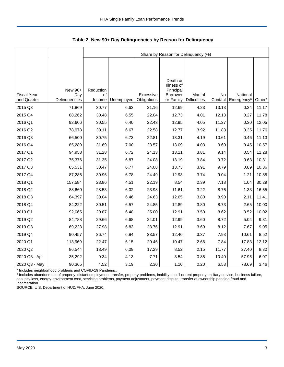|                                   |                                 | Share by Reason for Delinquency (%) |            |                          |                                                              |                                |               |                                    |        |  |
|-----------------------------------|---------------------------------|-------------------------------------|------------|--------------------------|--------------------------------------------------------------|--------------------------------|---------------|------------------------------------|--------|--|
|                                   |                                 |                                     |            |                          |                                                              |                                |               |                                    |        |  |
|                                   |                                 |                                     |            |                          |                                                              |                                |               |                                    |        |  |
| <b>Fiscal Year</b><br>and Quarter | New 90+<br>Day<br>Delinquencies | Reduction<br>of<br>Income           | Unemployed | Excessive<br>Obligations | Death or<br>Illness of<br>Principal<br>Borrower<br>or Family | Marital<br><b>Difficulties</b> | No<br>Contact | National<br>Emergency <sup>a</sup> | Otherb |  |
| 2015 Q3                           | 71,869                          | 30.77                               | 6.62       | 21.16                    | 12.69                                                        | 4.23                           | 13.13         | 0.24                               | 11.17  |  |
| 2015 Q4                           | 88,262                          | 30.48                               | 6.55       | 22.04                    | 12.73                                                        | 4.01                           | 12.13         | 0.27                               | 11.78  |  |
| 2016 Q1                           | 92,606                          | 30.55                               | 6.40       | 22.43                    | 12.95                                                        | 4.05                           | 11.27         | 0.30                               | 12.05  |  |
| 2016 Q2                           | 78,978                          | 30.11                               | 6.67       | 22.58                    | 12.77                                                        | 3.92                           | 11.83         | 0.35                               | 11.76  |  |
| 2016 Q3                           | 66,500                          | 30.75                               | 6.73       | 22.81                    | 13.31                                                        | 4.19                           | 10.61         | 0.46                               | 11.13  |  |
| 2016 Q4                           | 85,289                          | 31.69                               | 7.00       | 23.57                    | 13.09                                                        | 4.03                           | 9.60          | 0.45                               | 10.57  |  |
| 2017 Q1                           | 94,958                          | 31.28                               | 6.72       | 24.13                    | 13.11                                                        | 3.81                           | 9.14          | 0.54                               | 11.28  |  |
| 2017 Q2                           | 75,376                          | 31.35                               | 6.87       | 24.08                    | 13.19                                                        | 3.84                           | 9.72          | 0.63                               | 10.31  |  |
| 2017 Q3                           | 65,531                          | 30.47                               | 6.77       | 24.08                    | 13.73                                                        | 3.91                           | 9.79          | 0.89                               | 10.36  |  |
| 2017 Q4                           | 87,286                          | 30.96                               | 6.78       | 24.49                    | 12.93                                                        | 3.74                           | 9.04          | 1.21                               | 10.85  |  |
| 2018 Q1                           | 157,584                         | 23.86                               | 4.51       | 22.19                    | 8.54                                                         | 2.39                           | 7.18          | 1.04                               | 30.29  |  |
| 2018 Q2                           | 88,660                          | 28.53                               | 6.02       | 23.98                    | 11.61                                                        | 3.22                           | 8.76          | 1.33                               | 16.55  |  |
| 2018 Q3                           | 64,397                          | 30.04                               | 6.46       | 24.63                    | 12.65                                                        | 3.80                           | 8.90          | 2.11                               | 11.41  |  |
| 2018 Q4                           | 84,222                          | 30.51                               | 6.57       | 24.85                    | 12.89                                                        | 3.80                           | 8.73          | 2.65                               | 10.00  |  |
| 2019 Q1                           | 92,065                          | 29.87                               | 6.48       | 25.00                    | 12.91                                                        | 3.59                           | 8.62          | 3.52                               | 10.02  |  |
| 2019 Q2                           | 84,788                          | 29.66                               | 6.68       | 24.01                    | 12.99                                                        | 3.60                           | 8.72          | 5.04                               | 9.31   |  |
| 2019 Q3                           | 69,223                          | 27.98                               | 6.83       | 23.76                    | 12.91                                                        | 3.69                           | 8.12          | 7.67                               | 9.05   |  |
| 2019 Q4                           | 90,457                          | 26.74                               | 6.84       | 23.57                    | 12.40                                                        | 3.37                           | 7.93          | 10.61                              | 8.52   |  |
| 2020 Q1                           | 113,969                         | 22.47                               | 6.15       | 20.46                    | 10.47                                                        | 2.66                           | 7.84          | 17.83                              | 12.12  |  |
| 2020 Q2                           | 86,544                          | 18.49                               | 6.09       | 17.29                    | 8.52                                                         | 2.15                           | 11.77         | 27.40                              | 8.30   |  |
| 2020 Q3 - Apr                     | 35,292                          | 9.34                                | 4.13       | 7.71                     | 3.54                                                         | 0.85                           | 10.40         | 57.96                              | 6.07   |  |
| 2020 Q3 - May                     | 90,365                          | 4.52                                | 3.19       | 2.30                     | 1.10                                                         | 0.20                           | 6.53          | 78.69                              | 3.46   |  |

<span id="page-3-0"></span>**Table 2. New 90+ Day Delinquencies by Reason for Delinquency**

a Includes neighborhood problems and COVID-19 Pandemic.

**b** Includes abandonment of property, distant employment transfer, property problems, inability to sell or rent property, military service, business failure, casualty loss, energy-environment cost, servicing problems, payment adjustment, payment dispute, transfer of ownership pending fraud and incarceration.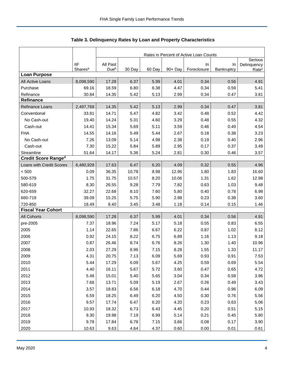|                            |                     | Rates in Percent of Active Loan Counts |        |        |            |             |            |                                  |  |
|----------------------------|---------------------|----------------------------------------|--------|--------|------------|-------------|------------|----------------------------------|--|
|                            | <b>IIF</b>          | All Past                               |        |        |            | In          | In         | Serious                          |  |
|                            | Shares <sup>a</sup> | Due <sup>b</sup>                       | 30 Day | 60 Day | $90 + Day$ | Foreclosure | Bankruptcy | Delinquency<br>Rate <sup>c</sup> |  |
| <b>Loan Purpose</b>        |                     |                                        |        |        |            |             |            |                                  |  |
| All Active Loans           | 8,098,590           | 17.28                                  | 6.37   | 5.99   | 4.01       | 0.34        | 0.56       | 4.91                             |  |
| Purchase                   | 69.16               | 18.59                                  | 6.80   | 6.38   | 4.47       | 0.34        | 0.59       | 5.41                             |  |
| Refinance                  | 30.84               | 14.35                                  | 5.42   | 5.13   | 2.99       | 0.34        | 0.47       | 3.81                             |  |
| <b>Refinance</b>           |                     |                                        |        |        |            |             |            |                                  |  |
| Refinance Loans            | 2,497,768           | 14.35                                  | 5.42   | 5.13   | 2.99       | 0.34        | 0.47       | 3.81                             |  |
| Conventional               | 33.81               | 14.71                                  | 5.47   | 4.82   | 3.42       | 0.48        | 0.52       | 4.42                             |  |
| No Cash-out                | 19.40               | 14.24                                  | 5.31   | 4.60   | 3.29       | 0.48        | 0.55       | 4.32                             |  |
| Cash-out                   | 14.41               | 15.34                                  | 5.69   | 5.11   | 3.59       | 0.46        | 0.49       | 4.54                             |  |
| <b>FHA</b>                 | 14.55               | 14.16                                  | 5.49   | 5.44   | 2.67       | 0.18        | 0.38       | 3.23                             |  |
| No Cash-out                | 7.26                | 13.09                                  | 5.14   | 4.98   | 2.38       | 0.19        | 0.40       | 2.96                             |  |
| Cash-out                   | 7.30                | 15.22                                  | 5.84   | 5.89   | 2.95       | 0.17        | 0.37       | 3.49                             |  |
| Streamline                 | 51.64               | 14.17                                  | 5.36   | 5.24   | 2.81       | 0.30        | 0.46       | 3.57                             |  |
| <b>Credit Score Ranged</b> |                     |                                        |        |        |            |             |            |                                  |  |
| Loans with Credit Scores   | 6,480,928           | 17.63                                  | 6.47   | 6.20   | 4.09       | 0.32        | 0.55       | 4.96                             |  |
| < 500                      | 0.09                | 36.35                                  | 10.78  | 8.98   | 12.96      | 1.80        | 1.83       | 16.60                            |  |
| 500-579                    | 1.75                | 31.75                                  | 10.57  | 8.20   | 10.06      | 1.31        | 1.62       | 12.98                            |  |
| 580-619                    | 8.30                | 26.55                                  | 9.28   | 7.79   | 7.82       | 0.63        | 1.03       | 9.48                             |  |
| 620-659                    | 32.27               | 22.68                                  | 8.10   | 7.60   | 5.80       | 0.40        | 0.78       | 6.98                             |  |
| 660-719                    | 39.09               | 15.25                                  | 5.75   | 5.90   | 2.98       | 0.23        | 0.38       | 3.60                             |  |
| 720-850                    | 18.49               | 8.40                                   | 3.45   | 3.48   | 1.18       | 0.14        | 0.15       | 1.46                             |  |
| <b>Fiscal Year Cohort</b>  |                     |                                        |        |        |            |             |            |                                  |  |
| <b>All Cohorts</b>         | 8,098,590           | 17.28                                  | 6.37   | 5.99   | 4.01       | 0.34        | 0.56       | 4.91                             |  |
| pre-2005                   | 7.37                | 18.96                                  | 7.24   | 5.17   | 5.18       | 0.55        | 0.83       | 6.55                             |  |
| 2005                       | 1.14                | 22.65                                  | 7.86   | 6.67   | 6.22       | 0.87        | 1.02       | 8.12                             |  |
| 2006                       | 0.92                | 24.15                                  | 8.22   | 6.75   | 6.89       | 1.16        | 1.13       | 9.18                             |  |
| 2007                       | 0.87                | 26.46                                  | 8.74   | 6.76   | 8.26       | 1.30        | 1.40       | 10.96                            |  |
| 2008                       | 2.03                | 27.29                                  | 8.96   | 7.15   | 8.28       | 1.55        | 1.33       | 11.17                            |  |
| 2009                       | 4.31                | 20.75                                  | 7.13   | 6.09   | 5.69       | 0.93        | 0.91       | 7.53                             |  |
| 2010                       | 5.44                | 17.29                                  | 6.09   | 5.67   | 4.25       | 0.59        | 0.69       | 5.54                             |  |
| 2011                       | 4.40                | 16.11                                  | 5.67   | 5.72   | 3.60       | 0.47        | 0.65       | 4.72                             |  |
| 2012                       | 5.48                | 15.01                                  | 5.40   | 5.65   | 3.04       | 0.34        | 0.58       | 3.96                             |  |
| 2013                       | 7.68                | 13.71                                  | 5.09   | 5.19   | 2.67       | 0.26        | 0.49       | 3.43                             |  |
| 2014                       | 3.57                | 18.83                                  | 6.56   | 6.18   | 4.70       | 0.44        | 0.96       | 6.09                             |  |
| 2015                       | 6.59                | 18.25                                  | 6.49   | 6.20   | 4.50       | 0.30        | 0.76       | 5.56                             |  |
| 2016                       | 9.57                | 17.74                                  | 6.47   | 6.20   | 4.20       | 0.23        | 0.63       | 5.06                             |  |
| 2017                       | 10.93               | 18.32                                  | 6.73   | 6.43   | 4.45       | 0.20        | 0.51       | 5.15                             |  |
| 2018                       | 9.30                | 19.98                                  | 7.19   | 6.99   | 5.14       | 0.21        | 0.45       | 5.80                             |  |
| 2019                       | 9.78                | 17.84                                  | 6.78   | 7.15   | 3.66       | 0.08        | 0.17       | 3.90                             |  |
| 2020                       | 10.63               | 9.63                                   | 4.64   | 4.37   | 0.60       | 0.00        | 0.01       | 0.61                             |  |

<span id="page-4-0"></span>Table 3. Delinquency Rates by Loan and Property Characteristics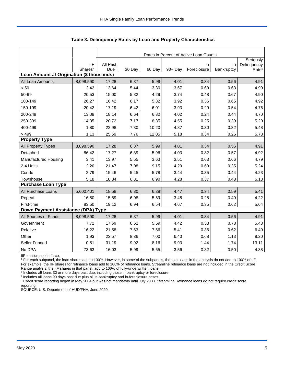|                                           |                     | Rates in Percent of Active Loan Counts |        |        |         |             |            |                   |  |
|-------------------------------------------|---------------------|----------------------------------------|--------|--------|---------|-------------|------------|-------------------|--|
|                                           |                     |                                        |        |        |         |             |            | Seriously         |  |
|                                           | <b>IIF</b>          | All Past                               |        |        |         | $\ln$       | In         | Delinquency       |  |
| Loan Amount at Origination (\$ thousands) | Shares <sup>a</sup> | Due <sup>b</sup>                       | 30 Day | 60 Day | 90+ Day | Foreclosure | Bankruptcy | Rate <sup>c</sup> |  |
| All Loan Amounts                          | 8,098,590           | 17.28                                  | 6.37   | 5.99   | 4.01    | 0.34        | 0.56       | 4.91              |  |
| < 50                                      | 2.42                | 13.64                                  | 5.44   | 3.30   | 3.67    | 0.60        | 0.63       | 4.90              |  |
| 50-99                                     | 20.53               | 15.00                                  | 5.82   | 4.29   | 3.74    | 0.48        | 0.67       | 4.90              |  |
| 100-149                                   | 26.27               | 16.42                                  | 6.17   | 5.32   | 3.92    | 0.36        | 0.65       | 4.92              |  |
| 150-199                                   | 20.42               | 17.19                                  | 6.42   | 6.01   | 3.93    | 0.29        | 0.54       | 4.76              |  |
| 200-249                                   | 13.08               | 18.14                                  | 6.64   | 6.80   | 4.02    | 0.24        | 0.44       | 4.70              |  |
| 250-399                                   | 14.35               | 20.72                                  | 7.17   | 8.35   | 4.55    | 0.25        | 0.39       | 5.20              |  |
| 400-499                                   | 1.80                | 22.98                                  | 7.30   | 10.20  | 4.87    | 0.30        | 0.32       | 5.48              |  |
| >499                                      | 1.13                | 25.59                                  | 7.76   | 12.05  | 5.18    | 0.34        | 0.26       | 5.78              |  |
| <b>Property Type</b>                      |                     |                                        |        |        |         |             |            |                   |  |
| All Property Types                        | 8,098,590           | 17.28                                  | 6.37   | 5.99   | 4.01    | 0.34        | 0.56       | 4.91              |  |
| Detached                                  | 86.42               | 17.27                                  | 6.39   | 5.96   | 4.03    | 0.32        | 0.57       | 4.92              |  |
| <b>Manufactured Housing</b>               | 3.41                | 13.97                                  | 5.55   | 3.63   | 3.51    | 0.63        | 0.66       | 4.79              |  |
| 2-4 Units                                 | 2.20                | 21.47                                  | 7.08   | 9.15   | 4.20    | 0.69        | 0.35       | 5.24              |  |
| Condo                                     | 2.79                | 15.46                                  | 5.45   | 5.78   | 3.44    | 0.35        | 0.44       | 4.23              |  |
| Townhouse                                 | 5.18                | 18.84                                  | 6.81   | 6.90   | 4.28    | 0.37        | 0.48       | 5.13              |  |
| <b>Purchase Loan Type</b>                 |                     |                                        |        |        |         |             |            |                   |  |
| All Purchase Loans                        | 5,600,401           | 18.58                                  | 6.80   | 6.38   | 4.47    | 0.34        | 0.59       | 5.41              |  |
| Repeat                                    | 16.50               | 15.89                                  | 6.08   | 5.59   | 3.45    | 0.28        | 0.49       | 4.22              |  |
| First-time                                | 83.50               | 19.12                                  | 6.94   | 6.54   | 4.67    | 0.35        | 0.62       | 5.64              |  |
| Down Payment Assistance (DPA) Type        |                     |                                        |        |        |         |             |            |                   |  |
| All Sources of Funds                      | 8,098,590           | 17.28                                  | 6.37   | 5.99   | 4.01    | 0.34        | 0.56       | 4.91              |  |
| Government                                | 7.72                | 17.69                                  | 6.62   | 5.59   | 4.42    | 0.33        | 0.73       | 5.48              |  |
| Relative                                  | 16.22               | 21.58                                  | 7.63   | 7.56   | 5.41    | 0.36        | 0.62       | 6.40              |  |
| Other                                     | 1.93                | 23.57                                  | 8.36   | 7.00   | 6.40    | 0.68        | 1.13       | 8.20              |  |
| Seller Funded                             | 0.51                | 31.19                                  | 9.92   | 8.16   | 9.93    | 1.44        | 1.74       | 13.11             |  |
| No DPA                                    | 73.63               | 16.03                                  | 5.99   | 5.65   | 3.56    | 0.32        | 0.50       | 4.38              |  |

**Table 3. Delinquency Rates by Loan and Property Characteristics**

IIF = insurance in force.

<sup>a</sup> For each subpanel, the loan shares add to 100%. However, in some of the subpanels, the total loans in the analysis do not add to 100% of IIF. For example, the IIF shares for refinance loans add to 100% of refinance loans. Streamline refinance loans are not included in the Credit Score

Range analysis; the IIF shares in that panel, add to 100% of fully-underwritten loans.<br><sup>b</sup> Includes all loans 30 or more days past due, including those in bankruptcy or foreclosure.

c Includes all loans 90 days past due plus all in-bankruptcy and in-foreclosure cases.

<sup>d</sup> Credit score reporting began in May 2004 but was not mandatory until July 2008. Streamline Refinance loans do not require credit score reporting.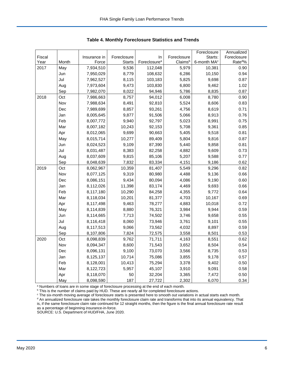|        |       |              |               |                          |             | Foreclosure             | Annualized         |
|--------|-------|--------------|---------------|--------------------------|-------------|-------------------------|--------------------|
| Fiscal |       | Insurance in | Foreclosure   | In                       | Foreclosure | Starts:                 | Foreclosure        |
| Year   | Month | Force        | <b>Starts</b> | Foreclosure <sup>a</sup> | Claimsb     | 6-month MA <sup>c</sup> | Rate <sup>d%</sup> |
| 2017   | May   | 7,934,510    | 9,536         | 112,048                  | 5,979       | 10,381                  | 0.90               |
|        | Jun   | 7,950,029    | 8,779         | 108,632                  | 6,286       | 10,150                  | 0.94               |
|        | Jul   | 7,962,527    | 8,115         | 103,183                  | 5,825       | 9,698                   | 0.87               |
|        | Aug   | 7,973,604    | 9,473         | 103,830                  | 6,800       | 9,462                   | 1.02               |
|        | Sep   | 7,982,070    | 8,022         | 94,946                   | 5,786       | 8,835                   | 0.87               |
| 2018   | Oct   | 7,986,663    | 8,757         | 94,012                   | 6,008       | 8,780                   | 0.90               |
|        | Nov   | 7,988,634    | 8,491         | 92,810                   | 5,524       | 8,606                   | 0.83               |
|        | Dec   | 7,989,699    | 8,857         | 93,261                   | 4,756       | 8,619                   | 0.71               |
|        | Jan   | 8,005,645    | 9,877         | 91,506                   | 5,066       | 8,913                   | 0.76               |
|        | Feb   | 8,007,772    | 9,940         | 92,797                   | 5,023       | 8,991                   | 0.75               |
|        | Mar   | 8,007,182    | 10,243        | 92,153                   | 5,708       | 9,361                   | 0.85               |
|        | Apr   | 8,012,065    | 9,699         | 90,663                   | 5,405       | 9,518                   | 0.81               |
|        | May   | 8,015,714    | 10,277        | 89,409                   | 5,804       | 9,816                   | 0.87               |
|        | Jun   | 8,024,523    | 9,109         | 87,390                   | 5,440       | 9,858                   | 0.81               |
|        | Jul   | 8,031,487    | 8,383         | 82,258                   | 4,882       | 9,609                   | 0.73               |
|        | Aug   | 8,037,609    | 9,815         | 85,106                   | 5,207       | 9,588                   | 0.77               |
|        | Sep   | 8,048,639    | 7,832         | 83,334                   | 4,151       | 9,186                   | 0.62               |
| 2019   | Oct   | 8,062,967    | 10,359        | 81,407                   | 5,549       | 9,296                   | 0.82               |
|        | Nov   | 8,077,125    | 9,319         | 80,980                   | 4,488       | 9,136                   | 0.66               |
|        | Dec   | 8,086,151    | 9,434         | 80,094                   | 4,086       | 9,190                   | 0.60               |
|        | Jan   | 8,112,026    | 11,398        | 83,174                   | 4,469       | 9,693                   | 0.66               |
|        | Feb   | 8,117,180    | 10,290        | 84,258                   | 4,355       | 9,772                   | 0.64               |
|        | Mar   | 8,118,034    | 10,201        | 81,377                   | 4,703       | 10,167                  | 0.69               |
|        | Apr   | 8,117,498    | 9,463         | 78,277                   | 4,883       | 10,018                  | 0.72               |
|        | May   | 8,114,839    | 8,880         | 76,321                   | 3,984       | 9,944                   | 0.59               |
|        | Jun   | 8,114,665    | 7,713         | 74,502                   | 3,746       | 9,658                   | 0.55               |
|        | Jul   | 8,116,418    | 8,060         | 73,946                   | 3,761       | 9,101                   | 0.55               |
|        | Aug   | 8,117,513    | 9,066         | 73,562                   | 4,032       | 8,897                   | 0.59               |
|        | Sep   | 8,107,806    | 7,824         | 72,575                   | 3,558       | 8,501                   | 0.53               |
| 2020   | Oct   | 8,098,839    | 9,762         | 71,711                   | 4,163       | 8,551                   | 0.62               |
|        | Nov   | 8,094,347    | 8,600         | 71,543                   | 3,652       | 8,504                   | 0.54               |
|        | Dec   | 8,096,131    | 9,100         | 73,070                   | 3,566       | 8,735                   | 0.53               |
|        | Jan   | 8,125,137    | 10,714        | 75,086                   | 3,855       | 9,178                   | 0.57               |
|        | Feb   | 8,128,001    | 10,413        | 75,294                   | 3,378       | 9,402                   | 0.50               |
|        | Mar   | 8,122,723    | 5,957         | 45,107                   | 3,910       | 9,091                   | 0.58               |
|        | Apr   | 8,118,070    | 50            | 32,204                   | 3,365       | 7,472                   | 0.50               |
|        | May   | 8,098,590    | 187           | 27,722                   | 2,302       | 6,070                   | 0.34               |

<span id="page-6-0"></span>**Table 4. Monthly Foreclosure Statistics and Trends**

<sup>a</sup> Numbers of loans are in some stage of foreclosure processing at the end of each month.

b This is the number of claims paid by HUD. These are nearly all for completed foreclosure actions.

<sup>c</sup> The six-month moving average of foreclosure starts is presented here to smooth out variations in actual starts each month. <sup>d</sup> An annualized foreclosure rate takes the monthly foreclosure claim rate and transforms that into its annual equivalency. That is, if the same foreclosure claim rate continued for 12 straight months, then the figure is the final annual foreclosure rate result as a percentage of beginning insurance-in-force.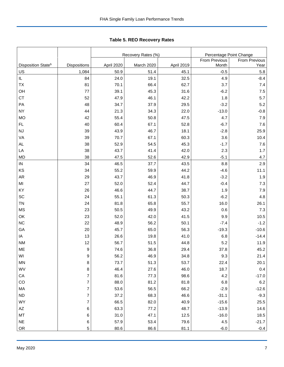|                                |                |            | Recovery Rates (%) |            | Percentage Point Change |               |
|--------------------------------|----------------|------------|--------------------|------------|-------------------------|---------------|
|                                |                |            |                    |            | <b>From Previous</b>    | From Previous |
| Disposition State <sup>b</sup> | Dispositions   | April 2020 | March 2020         | April 2019 | Month                   | Year          |
| US                             | 1,084          | 50.9       | 51.4               | 45.1       | $-0.5$                  | 5.8           |
| IL                             | 84             | 24.0       | 19.1               | 32.5       | 4.9                     | $-8.4$        |
| TX                             | 81             | 70.1       | 66.4               | 62.7       | 3.7                     | 7.4           |
| OH                             | 77             | 39.1       | 45.3               | 31.6       | $-6.2$                  | 7.5           |
| <b>CT</b>                      | 52             | 47.9       | 46.1               | 42.2       | 1.8                     | 5.7           |
| PA                             | 48             | 34.7       | 37.9               | 29.5       | $-3.2$                  | 5.2           |
| <b>NY</b>                      | 44             | 21.3       | 34.3               | 22.0       | $-13.0$                 | $-0.8$        |
| <b>MO</b>                      | 42             | 55.4       | 50.8               | 47.5       | 4.7                     | 7.9           |
| FL.                            | 40             | 60.4       | 67.1               | 52.8       | $-6.7$                  | 7.6           |
| NJ                             | 39             | 43.9       | 46.7               | 18.1       | $-2.8$                  | 25.9          |
| VA                             | 39             | 70.7       | 67.1               | 60.3       | 3.6                     | 10.4          |
| AL                             | 38             | 52.9       | 54.5               | 45.3       | $-1.7$                  | 7.6           |
| LA                             | 38             | 43.7       | 41.4               | 42.0       | 2.3                     | 1.7           |
| <b>MD</b>                      | 38             | 47.5       | 52.6               | 42.9       | $-5.1$                  | 4.7           |
| IN                             | 34             | 46.5       | 37.7               | 43.5       | 8.8                     | 2.9           |
| KS                             | 34             | 55.2       | 59.9               | 44.2       | $-4.6$                  | 11.1          |
| AR                             | 29             | 43.7       | 46.9               | 41.8       | $-3.2$                  | 1.9           |
| MI                             | 27             | 52.0       | 52.4               | 44.7       | $-0.4$                  | 7.3           |
| KY                             | 26             | 46.6       | 44.7               | 38.7       | 1.9                     | 7.9           |
| SC                             | 24             | 55.1       | 61.3               | 50.3       | $-6.2$                  | 4.8           |
| TN                             | 24             | 81.8       | 65.8               | 55.7       | 16.0                    | 26.1          |
| <b>MS</b>                      | 23             | 50.5       | 49.9               | 43.2       | 0.6                     | 7.3           |
| OK                             | 23             | 52.0       | 42.0               | 41.5       | 9.9                     | 10.5          |
| <b>NC</b>                      | 22             | 48.9       | 56.2               | 50.1       | $-7.4$                  | $-1.2$        |
| GA                             | 20             | 45.7       | 65.0               | 56.3       | $-19.3$                 | $-10.6$       |
| ΙA                             | 13             | 26.6       | 19.8               | 41.0       | 6.8                     | $-14.4$       |
| <b>NM</b>                      | 12             | 56.7       | 51.5               | 44.8       | 5.2                     | 11.9          |
| ME                             | 9              | 74.6       | 36.8               | 29.4       | 37.8                    | 45.2          |
| WI                             | 9              | 56.2       | 46.9               | 34.8       | 9.3                     | 21.4          |
| MN                             | 8              | 73.7       | 51.3               | 53.7       | 22.4                    | 20.1          |
| WV                             | 8              | 46.4       | 27.6               | 46.0       | 18.7                    | 0.4           |
| CA                             | 7              | 81.6       | 77.3               | 98.6       | 4.2                     | $-17.0$       |
| CO                             | 7              | 88.0       | 81.2               | 81.8       | 6.8                     | 6.2           |
| MA                             | $\overline{7}$ | 53.6       | 56.5               | 66.2       | $-2.9$                  | $-12.6$       |
| ND                             | 7              | 37.2       | 68.3               | 46.6       | $-31.1$                 | $-9.3$        |
| WY                             | 7              | 66.5       | 82.0               | 40.9       | $-15.6$                 | 25.5          |
| $\mathsf{A}\mathsf{Z}$         | 6              | 63.3       | 77.2               | 48.7       | $-13.9$                 | 14.6          |
| MT                             | 6              | 31.0       | 47.1               | 12.5       | $-16.0$                 | 18.5          |
| <b>NE</b>                      | 6              | 57.9       | 53.4               | 79.6       | 4.5                     | $-21.7$       |
| OR                             | 5              | 80.6       | 86.6               | 81.1       | $-6.0$                  | $-0.4$        |

<span id="page-7-0"></span>Tabl e 5. REO R ecovery R ates **Table 5. REO Recovery Rates**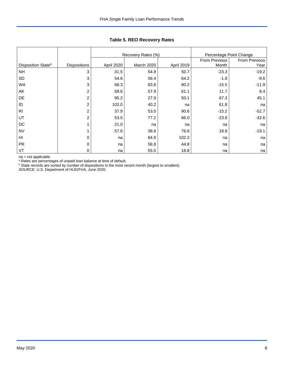|                                |                     |            | Recovery Rates (%) | Percentage Point Change |                        |                       |
|--------------------------------|---------------------|------------|--------------------|-------------------------|------------------------|-----------------------|
| Disposition State <sup>b</sup> | <b>Dispositions</b> | April 2020 | March 2020         | April 2019              | From Previous<br>Month | From Previous<br>Year |
| <b>NH</b>                      | 3                   | 31.5       | 54.9               | 50.7                    | $-23.3$                | $-19.2$               |
| <b>SD</b>                      | 3                   | 54.6       | 56.4               | 64.2                    | $-1.8$                 | $-9.6$                |
| <b>WA</b>                      | 3                   | 68.3       | 83.8               | 80.2                    | $-15.5$                | $-11.9$               |
| AK                             | $\overline{c}$      | 69.6       | 57.9               | 61.1                    | 11.7                   | 8.4                   |
| DE                             | 2                   | 95.2       | 27.9               | 50.1                    | 67.3                   | 45.1                  |
| ID                             | $\overline{c}$      | 102.0      | 40.2               | na                      | 61.8                   | na                    |
| R <sub>l</sub>                 | $\overline{c}$      | 37.9       | 53.0               | 90.6                    | $-15.2$                | $-52.7$               |
| UT                             | $\overline{2}$      | 53.5       | 77.2               | 86.0                    | $-23.8$                | $-32.6$               |
| DC                             |                     | 21.0       | na                 | na                      | na                     | na                    |
| <b>NV</b>                      |                     | 57.6       | 38.8               | 76.8                    | 18.8                   | $-19.1$               |
| H <sub>l</sub>                 | 0                   | na         | 84.9               | 102.2                   | na                     | na                    |
| <b>PR</b>                      | 0                   | na         | 58.8               | 44.8                    | na                     | na                    |
| VT                             | 0                   | na         | 55.5               | 18.8                    | na                     | na                    |

**Table 5. REO Recovery Rates**

na = not applicable

<sup>a</sup> Rates are percentages of unpaid loan balance at time of default.

 $b$  State records are sorted by number of dispositions in the most recent month (largest to smallest).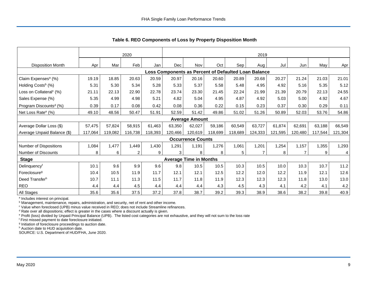|                                     | 2020    |         |                |         |         | 2019                          |         |         |                                                      |         |         |         |                |
|-------------------------------------|---------|---------|----------------|---------|---------|-------------------------------|---------|---------|------------------------------------------------------|---------|---------|---------|----------------|
| <b>Disposition Month</b>            | Apr     | Mar     | Feb            | Jan     | Dec     | Nov                           | Oct     | Sep     | Aug l                                                | Jul     | Jun     | May     | Apr            |
|                                     |         |         |                |         |         |                               |         |         | Loss Components as Percent of Defaulted Loan Balance |         |         |         |                |
| Claim Expenses <sup>a</sup> (%)     | 19.19   | 18.85   | 20.63          | 20.59   | 20.97   | 20.16                         | 20.60   | 20.89   | 20.68                                                | 20.27   | 21.24   | 21.03   | 21.01          |
| Holding Costs <sup>b</sup> (%)      | 5.31    | 5.30    | 5.34           | 5.28    | 5.33    | 5.37                          | 5.58    | 5.48    | 4.95                                                 | 4.92    | 5.16    | 5.35    | 5.12           |
| Loss on Collateral <sup>c</sup> (%) | 21.11   | 22.13   | 22.90          | 22.78   | 23.74   | 23.30                         | 21.45   | 22.24   | 21.99                                                | 21.39   | 20.79   | 22.13   | 24.55          |
| Sales Expense (%)                   | 5.35    | 4.99    | 4.98           | 5.21    | 4.82    | 5.04                          | 4.95    | 4.87    | 4.92                                                 | 5.03    | 5.00    | 4.92    | 4.67           |
| Program Discounts <sup>d</sup> (%)  | 0.39    | 0.17    | 0.08           | 0.42    | 0.08    | 0.36                          | 0.22    | 0.15    | 0.23                                                 | 0.37    | 0.30    | 0.29    | 0.11           |
| Net Loss Rate <sup>e</sup> (%)      | 49.10   | 48.56   | 50.47          | 51.91   | 52.59   | 51.42                         | 49.86   | 51.02   | 51.26                                                | 50.89   | 52.03   | 53.76   | 54.86          |
|                                     |         |         |                |         |         | <b>Average Amount</b>         |         |         |                                                      |         |         |         |                |
| Average Dollar Loss (\$)            | 57,475  | 57,824  | 58,915         | 61,463  | 63,350  | 62,027                        | 59,186  | 60,549  | 63,727                                               | 61,874  | 62,691  | 63,188  | 66,549         |
| Average Unpaid Balance (\$)         | 117,064 | 119,082 | 116,738        | 118,393 | 120,466 | 120,619                       | 118,699 | 118,689 | 124,333                                              | 121,595 | 120,480 | 117,544 | 121,304        |
|                                     |         |         |                |         |         | <b>Occurrence Counts</b>      |         |         |                                                      |         |         |         |                |
| Number of Dispositions              | 1,084   | 1,477   | 1,449          | 1,430   | 1,291   | 1,191                         | 1,276   | 1,061   | 1,201                                                | 1,254   | 1,157   | 1,355   | 1,293          |
| Number of Discounts                 | 8       | 6       | $\overline{c}$ | 9       | 3       | 8                             | 8       | 5       | $\overline{7}$                                       | 8       |         | 9       | $\overline{4}$ |
| <b>Stage</b>                        |         |         |                |         |         | <b>Average Time in Months</b> |         |         |                                                      |         |         |         |                |
| Delinquency <sup>f</sup>            | 10.1    | 9.6     | 9.9            | 9.6     | 9.8     | 10.5                          | 10.5    | 10.3    | 10.5                                                 | 10.0    | 10.3    | 10.7    | 11.2           |
| Foreclosure <sup>g</sup>            | 10.4    | 10.5    | 11.9           | 11.7    | 12.1    | 12.1                          | 12.5    | 12.2    | 12.0                                                 | 12.2    | 11.9    | 12.1    | 12.6           |
| Deed Transferh                      | 10.7    | 11.1    | 11.3           | 11.5    | 11.7    | 11.8                          | 11.9    | 12.3    | 12.3                                                 | 12.3    | 11.8    | 13.0    | 13.0           |
| <b>REO</b>                          | 4.4     | 4.4     | 4.5            | 4.4     | 4.4     | 4.4                           | 4.3     | 4.5     | 4.3                                                  | 4.1     | 4.2     | 4.1     | 4.2            |
| All Stages                          | 35.6    | 35.6    | 37.5           | 37.2    | 37.8    | 38.7                          | 39.2    | 39.3    | 38.9                                                 | 38.6    | 38.2    | 39.8    | 40.9           |

<span id="page-9-0"></span>**Table 6. REO Components of Loss by Property Disposition Month**

<sup>a</sup> Includes interest on principal.

**b** Management, maintenance, repairs, administration, and security, net of rent and other income.

<sup>c</sup> Value when foreclosed (UPB) minus value received in REO; does not include Streamline refinances.

<sup>d</sup> Rate over all dispositions; effect is greater in the cases where a discount actually is given.

<sup>e</sup> Profit (loss) divided by Unpaid Principal Balance (UPB). The listed cost categories are not exhaustive, and they will not sum to the loss rate

<sup>f</sup> First missed payment to date foreclosure initiated.

<sup>g</sup> Initiation of foreclosure proceedings to auction date.

h Auction date to HUD acquisition date.